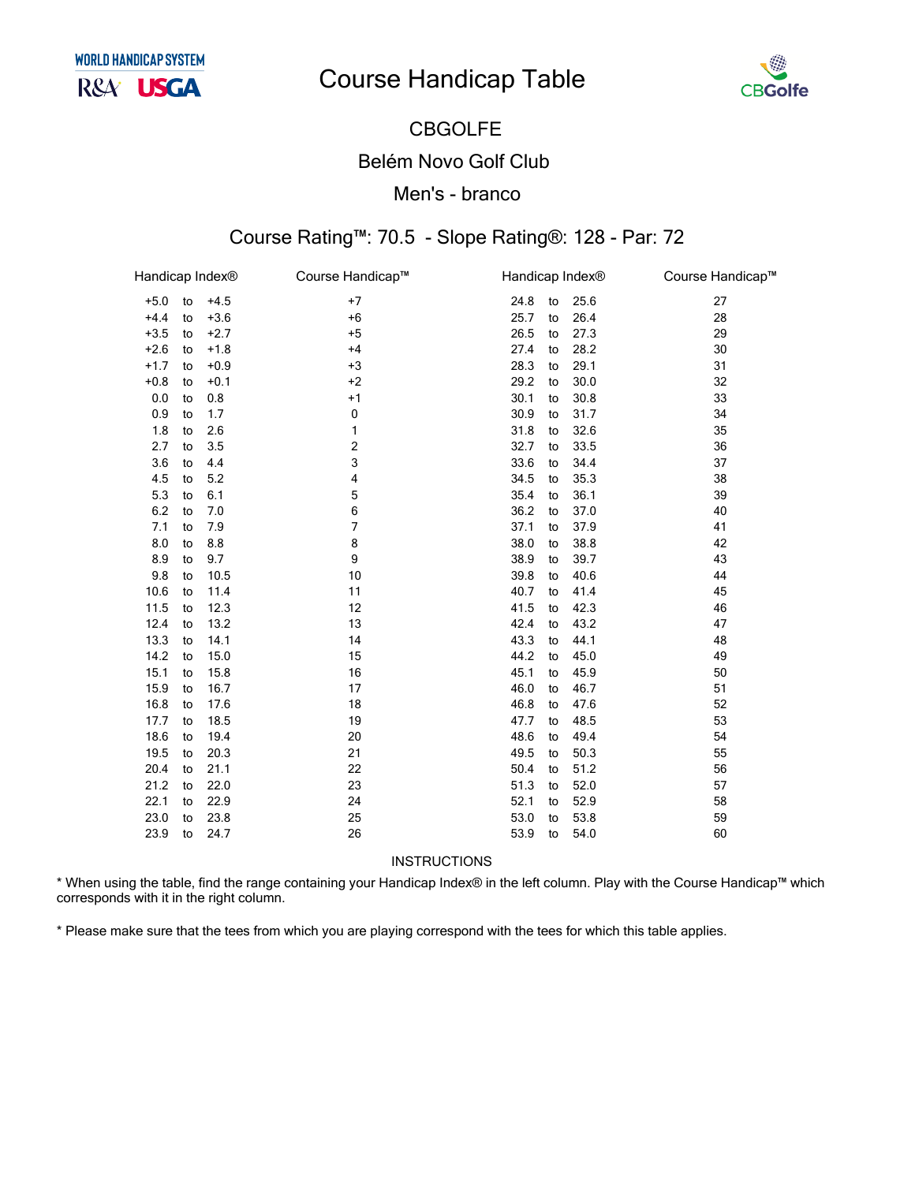

### **CBGOLFE Belém Novo Golf Club** Men's - branco

#### Course Rating™: 70.5 - Slope Rating®: 128 - Par: 72

| Handicap Index® |    |        | Course Handicap™ |      | Handicap Index® |      | Course Handicap™ |
|-----------------|----|--------|------------------|------|-----------------|------|------------------|
| $+5.0$          | to | $+4.5$ | $+7$             | 24.8 | to              | 25.6 | 27               |
| $+4.4$          | to | $+3.6$ | $+6$             | 25.7 | to              | 26.4 | 28               |
| $+3.5$          | to | $+2.7$ | $+5$             | 26.5 | to              | 27.3 | 29               |
| $+2.6$          | to | $+1.8$ | $+4$             | 27.4 | to              | 28.2 | 30               |
| $+1.7$          | to | $+0.9$ | $+3$             | 28.3 | to              | 29.1 | 31               |
| $+0.8$          | to | $+0.1$ | $+2$             | 29.2 | to              | 30.0 | 32               |
| 0.0             | to | 0.8    | $+1$             | 30.1 | to              | 30.8 | 33               |
| 0.9             | to | 1.7    | 0                | 30.9 | to              | 31.7 | 34               |
| 1.8             | to | 2.6    | 1                | 31.8 | to              | 32.6 | 35               |
| 2.7             | to | 3.5    | 2                | 32.7 | to              | 33.5 | 36               |
| 3.6             | to | 4.4    | 3                | 33.6 | to              | 34.4 | 37               |
| 4.5             | to | 5.2    | 4                | 34.5 | to              | 35.3 | 38               |
| 5.3             | to | 6.1    | 5                | 35.4 | to              | 36.1 | 39               |
| 6.2             | to | 7.0    | 6                | 36.2 | to              | 37.0 | 40               |
| 7.1             | to | 7.9    | 7                | 37.1 | to              | 37.9 | 41               |
| 8.0             | to | 8.8    | 8                | 38.0 | to              | 38.8 | 42               |
| 8.9             | to | 9.7    | 9                | 38.9 | to              | 39.7 | 43               |
| 9.8             | to | 10.5   | 10               | 39.8 | to              | 40.6 | 44               |
| 10.6            | to | 11.4   | 11               | 40.7 | to              | 41.4 | 45               |
| 11.5            | to | 12.3   | 12               | 41.5 | to              | 42.3 | 46               |
| 12.4            | to | 13.2   | 13               | 42.4 | to              | 43.2 | 47               |
| 13.3            | to | 14.1   | 14               | 43.3 | to              | 44.1 | 48               |
| 14.2            | to | 15.0   | 15               | 44.2 | to              | 45.0 | 49               |
| 15.1            | to | 15.8   | 16               | 45.1 | to              | 45.9 | 50               |
| 15.9            | to | 16.7   | 17               | 46.0 | to              | 46.7 | 51               |
| 16.8            | to | 17.6   | 18               | 46.8 | to              | 47.6 | 52               |
| 17.7            | to | 18.5   | 19               | 47.7 | to              | 48.5 | 53               |
| 18.6            | to | 19.4   | 20               | 48.6 | to              | 49.4 | 54               |
| 19.5            | to | 20.3   | 21               | 49.5 | to              | 50.3 | 55               |
| 20.4            | to | 21.1   | 22               | 50.4 | to              | 51.2 | 56               |
| 21.2            | to | 22.0   | 23               | 51.3 | to              | 52.0 | 57               |
| 22.1            | to | 22.9   | 24               | 52.1 | to              | 52.9 | 58               |
| 23.0            | to | 23.8   | 25               | 53.0 | to              | 53.8 | 59               |
| 23.9            | to | 24.7   | 26               | 53.9 | to              | 54.0 | 60               |

**INSTRUCTIONS** 

\* When using the table, find the range containing your Handicap Index® in the left column. Play with the Course Handicap™ which corresponds with it in the right column.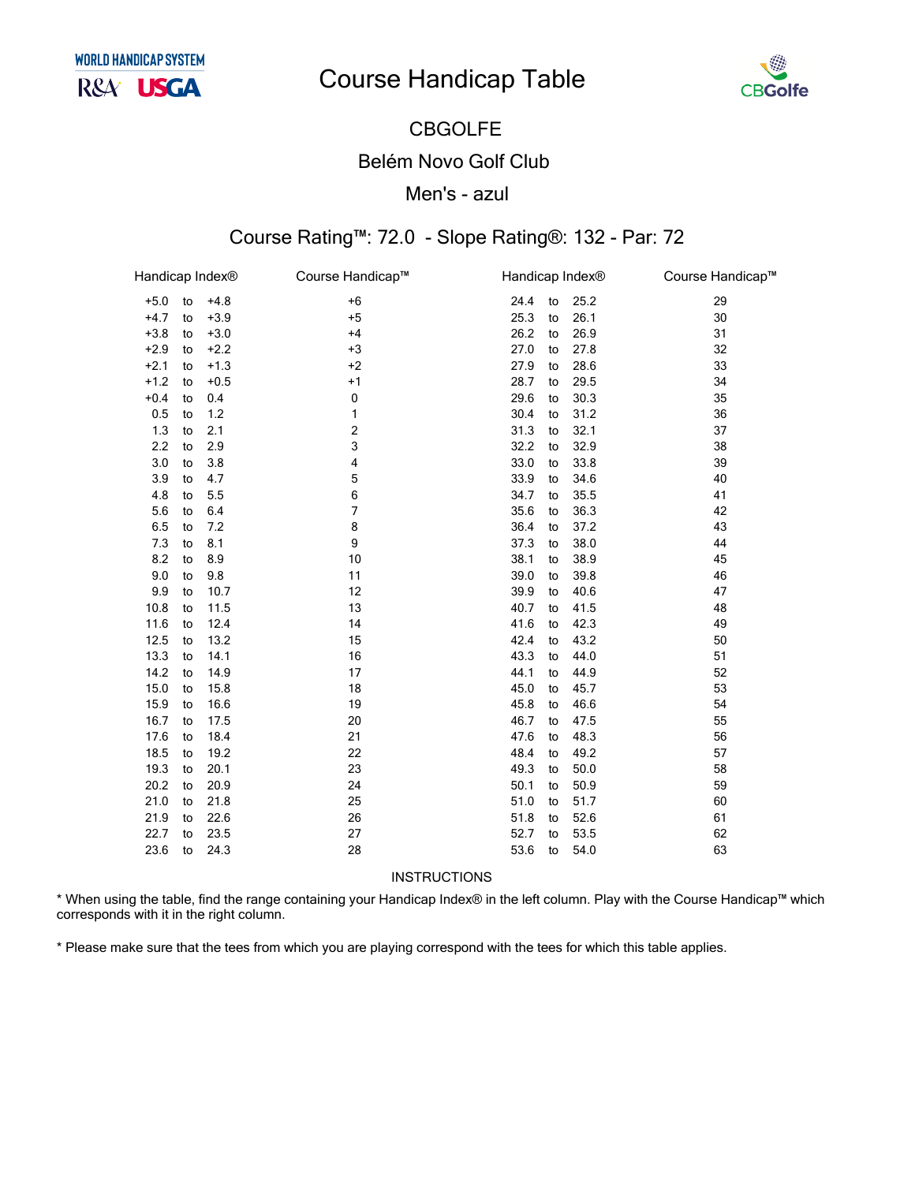

# **CBGOLFE Belém Novo Golf Club**

#### Men's - azul

#### Course Rating™: 72.0 - Slope Rating®: 132 - Par: 72

| Handicap Index® |    |        | Course Handicap™ | Handicap Index® |    |      | Course Handicap™ |
|-----------------|----|--------|------------------|-----------------|----|------|------------------|
| $+5.0$          | to | $+4.8$ | $+6$             | 24.4            | to | 25.2 | 29               |
| $+4.7$          | to | $+3.9$ | $+5$             | 25.3            | to | 26.1 | 30               |
| $+3.8$          | to | $+3.0$ | $+4$             | 26.2            | to | 26.9 | 31               |
| $+2.9$          | to | $+2.2$ | $+3$             | 27.0            | to | 27.8 | 32               |
| $+2.1$          | to | $+1.3$ | $+2$             | 27.9            | to | 28.6 | 33               |
| $+1.2$          | to | $+0.5$ | $+1$             | 28.7            | to | 29.5 | 34               |
| $+0.4$          | to | 0.4    | 0                | 29.6            | to | 30.3 | 35               |
| 0.5             | to | $1.2$  | 1                | 30.4            | to | 31.2 | 36               |
| 1.3             | to | 2.1    | 2                | 31.3            | to | 32.1 | 37               |
| 2.2             | to | 2.9    | 3                | 32.2            | to | 32.9 | 38               |
| 3.0             | to | 3.8    | 4                | 33.0            | to | 33.8 | 39               |
| 3.9             | to | 4.7    | 5                | 33.9            | to | 34.6 | 40               |
| 4.8             | to | 5.5    | 6                | 34.7            | to | 35.5 | 41               |
| 5.6             | to | 6.4    | 7                | 35.6            | to | 36.3 | 42               |
| 6.5             | to | 7.2    | 8                | 36.4            | to | 37.2 | 43               |
| 7.3             | to | 8.1    | 9                | 37.3            | to | 38.0 | 44               |
| 8.2             | to | 8.9    | 10               | 38.1            | to | 38.9 | 45               |
| 9.0             | to | 9.8    | 11               | 39.0            | to | 39.8 | 46               |
| 9.9             | to | 10.7   | 12               | 39.9            | to | 40.6 | 47               |
| 10.8            | to | 11.5   | 13               | 40.7            | to | 41.5 | 48               |
| 11.6            | to | 12.4   | 14               | 41.6            | to | 42.3 | 49               |
| 12.5            | to | 13.2   | 15               | 42.4            | to | 43.2 | 50               |
| 13.3            | to | 14.1   | $16$             | 43.3            | to | 44.0 | 51               |
| 14.2            | to | 14.9   | 17               | 44.1            | to | 44.9 | 52               |
| 15.0            | to | 15.8   | 18               | 45.0            | to | 45.7 | 53               |
| 15.9            | to | 16.6   | 19               | 45.8            | to | 46.6 | 54               |
| 16.7            | to | 17.5   | 20               | 46.7            | to | 47.5 | 55               |
| 17.6            | to | 18.4   | 21               | 47.6            | to | 48.3 | 56               |
| 18.5            | to | 19.2   | 22               | 48.4            | to | 49.2 | 57               |
| 19.3            | to | 20.1   | 23               | 49.3            | to | 50.0 | 58               |
| 20.2            | to | 20.9   | 24               | 50.1            | to | 50.9 | 59               |
| 21.0            | to | 21.8   | 25               | 51.0            | to | 51.7 | 60               |
| 21.9            | to | 22.6   | 26               | 51.8            | to | 52.6 | 61               |
| 22.7            | to | 23.5   | 27               | 52.7            | to | 53.5 | 62               |
| 23.6            | to | 24.3   | 28               | 53.6            | to | 54.0 | 63               |

INSTRUCTIONS

\* When using the table, find the range containing your Handicap Index® in the left column. Play with the Course Handicap™ which corresponds with it in the right column.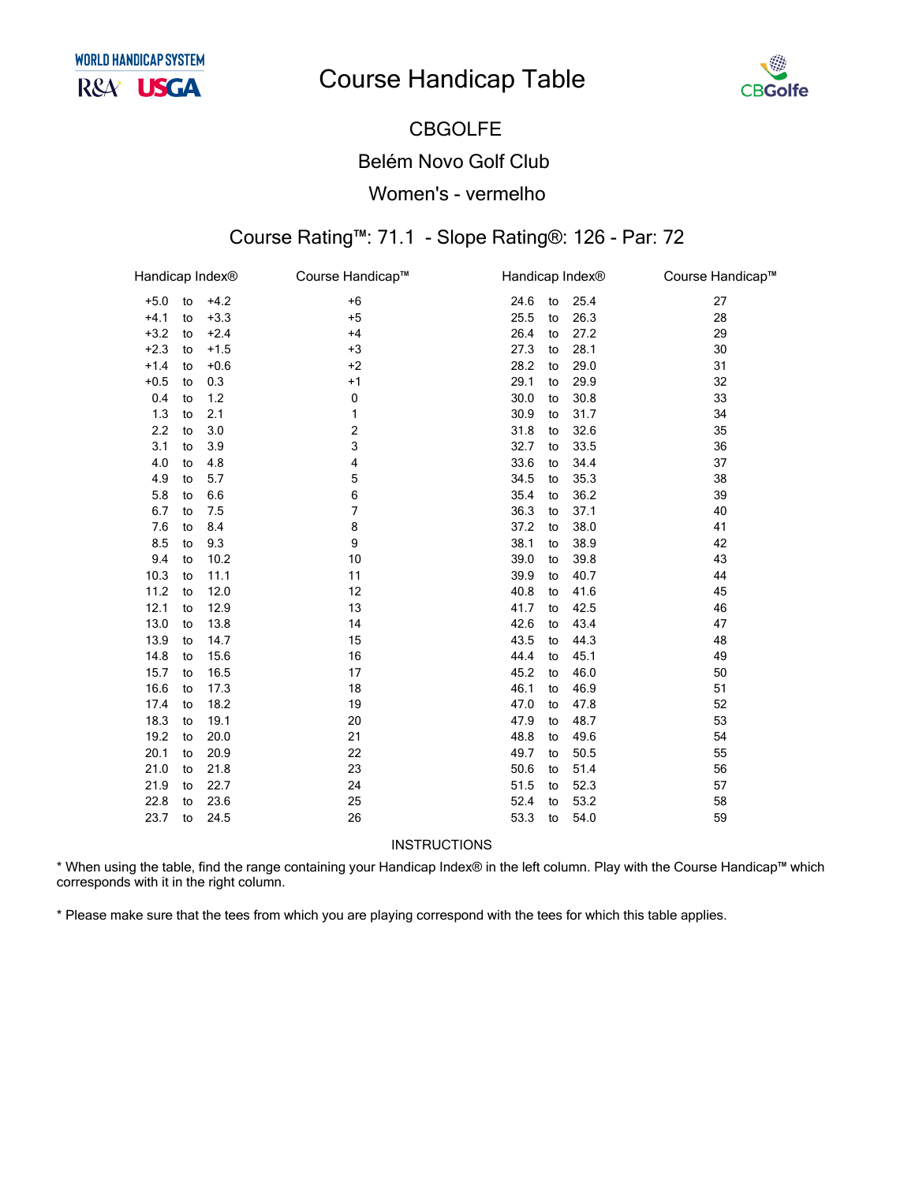

### **CBGOLFE Belém Novo Golf Club** Women's - vermelho

### Course Rating™: 71.1 - Slope Rating®: 126 - Par: 72

| Handicap Index® |    |        | Course Handicap™ |      | Handicap Index® |      | Course Handicap™ |
|-----------------|----|--------|------------------|------|-----------------|------|------------------|
| $+5.0$          | to | $+4.2$ | $+6$             | 24.6 | to              | 25.4 | 27               |
| $+4.1$          | to | $+3.3$ | $+5$             | 25.5 | to              | 26.3 | 28               |
| $+3.2$          | to | $+2.4$ | $+4$             | 26.4 | to              | 27.2 | 29               |
| $+2.3$          | to | $+1.5$ | $+3$             | 27.3 | to              | 28.1 | 30               |
| $+1.4$          | to | $+0.6$ | $+2$             | 28.2 | to              | 29.0 | 31               |
| $+0.5$          | to | 0.3    | $+1$             | 29.1 | to              | 29.9 | 32               |
| 0.4             | to | 1.2    | 0                | 30.0 | to              | 30.8 | 33               |
| 1.3             | to | 2.1    | 1                | 30.9 | to              | 31.7 | 34               |
| 2.2             | to | 3.0    | 2                | 31.8 | to              | 32.6 | 35               |
| 3.1             | to | 3.9    | 3                | 32.7 | to              | 33.5 | 36               |
| 4.0             | to | 4.8    | 4                | 33.6 | to              | 34.4 | 37               |
| 4.9             | to | 5.7    | 5                | 34.5 | to              | 35.3 | 38               |
| 5.8             | to | 6.6    | 6                | 35.4 | to              | 36.2 | 39               |
| 6.7             | to | 7.5    | 7                | 36.3 | to              | 37.1 | 40               |
| 7.6             | to | 8.4    | 8                | 37.2 | to              | 38.0 | 41               |
| 8.5             | to | 9.3    | 9                | 38.1 | to              | 38.9 | 42               |
| 9.4             | to | 10.2   | 10               | 39.0 | to              | 39.8 | 43               |
| 10.3            | to | 11.1   | 11               | 39.9 | to              | 40.7 | 44               |
| 11.2            | to | 12.0   | 12               | 40.8 | to              | 41.6 | 45               |
| 12.1            | to | 12.9   | 13               | 41.7 | to              | 42.5 | 46               |
| 13.0            | to | 13.8   | 14               | 42.6 | to              | 43.4 | 47               |
| 13.9            | to | 14.7   | 15               | 43.5 | to              | 44.3 | 48               |
| 14.8            | to | 15.6   | 16               | 44.4 | to              | 45.1 | 49               |
| 15.7            | to | 16.5   | 17               | 45.2 | to              | 46.0 | 50               |
| 16.6            | to | 17.3   | 18               | 46.1 | to              | 46.9 | 51               |
| 17.4            | to | 18.2   | 19               | 47.0 | to              | 47.8 | 52               |
| 18.3            | to | 19.1   | 20               | 47.9 | to              | 48.7 | 53               |
| 19.2            | to | 20.0   | 21               | 48.8 | to              | 49.6 | 54               |
| 20.1            | to | 20.9   | 22               | 49.7 | to              | 50.5 | 55               |
| 21.0            | to | 21.8   | 23               | 50.6 | to              | 51.4 | 56               |
| 21.9            | to | 22.7   | 24               | 51.5 | to              | 52.3 | 57               |
| 22.8            | to | 23.6   | 25               | 52.4 | to              | 53.2 | 58               |
| 23.7            | to | 24.5   | 26               | 53.3 | to              | 54.0 | 59               |

INSTRUCTIONS

\* When using the table, find the range containing your Handicap Index® in the left column. Play with the Course Handicap™ which corresponds with it in the right column.